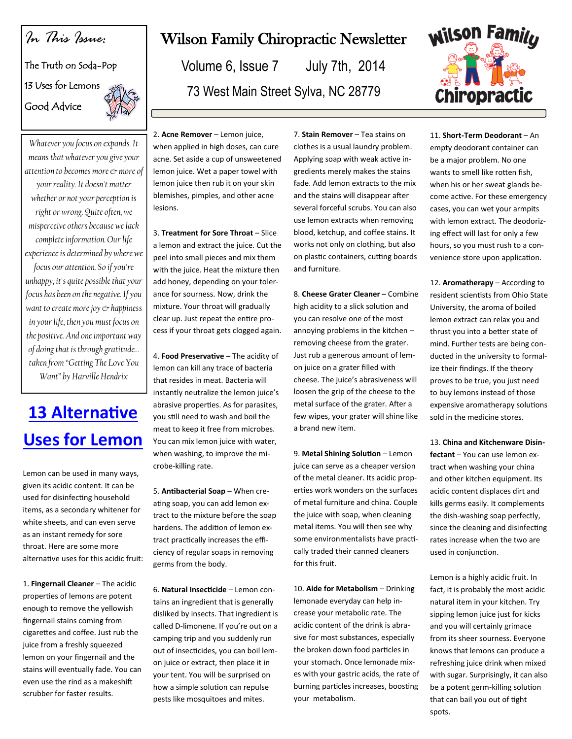### *In This Issue:*

#### The Truth on Soda-Pop

13 Uses for Lemons Good Advice

*Whatever you focus on expands. It means that whatever you give your attention to becomes more & more of your reality. It doesn't matter whether or not your perception is right or wrong. Quite often, we misperceive others because we lack complete information. Our life experience is determined by where we focus our attention. So if you're unhappy, it's quite possible that your focus has been on the negative. If you want to create more joy & happiness in your life, then you must focus on the positive. And one important way of doing that is through gratitude… taken from "Getting The Love You Want" by Harville Hendrix*

# **[13 Alternative](http://lifehackery.com/2008/08/19/home-5/)  [Uses for Lemon](http://lifehackery.com/2008/08/19/home-5/)**

Lemon can be used in many ways, given its acidic content. It can be used for disinfecting household items, as a secondary whitener for white sheets, and can even serve as an instant remedy for sore throat. Here are some more alternative uses for this acidic fruit:

1. **Fingernail Cleaner** – The acidic properties of lemons are potent enough to remove the yellowish fingernail stains coming from cigarettes and coffee. Just rub the juice from a freshly squeezed lemon on your fingernail and the stains will eventually fade. You can even use the rind as a makeshift scrubber for faster results.

## Wilson Family Chiropractic Newsletter

Volume 6, Issue 7 July 7th, 2014 73 West Main Street Sylva, NC 28779



2. **Acne Remover** – Lemon juice, when applied in high doses, can cure acne. Set aside a cup of unsweetened lemon juice. Wet a paper towel with lemon juice then rub it on your skin blemishes, pimples, and other acne lesions.

3. **Treatment for Sore Throat** – Slice a lemon and extract the juice. Cut the peel into small pieces and mix them with the juice. Heat the mixture then add honey, depending on your tolerance for sourness. Now, drink the mixture. Your throat will gradually clear up. Just repeat the entire process if your throat gets clogged again.

4. **Food Preservative** – The acidity of lemon can kill any trace of bacteria that resides in meat. Bacteria will instantly neutralize the lemon juice's abrasive properties. As for parasites, you still need to wash and boil the meat to keep it free from microbes. You can mix lemon juice with water, when washing, to improve the microbe-killing rate.

5. **Antibacterial Soap** – When creating soap, you can add lemon extract to the mixture before the soap hardens. The addition of lemon extract practically increases the efficiency of regular soaps in removing germs from the body.

6. **Natural Insecticide** – Lemon contains an ingredient that is generally disliked by insects. That ingredient is called D-limonene. If you're out on a camping trip and you suddenly run out of insecticides, you can boil lemon juice or extract, then place it in your tent. You will be surprised on how a simple solution can repulse pests like mosquitoes and mites.

7. **Stain Remover** – Tea stains on clothes is a usual laundry problem. Applying soap with weak active ingredients merely makes the stains fade. Add lemon extracts to the mix and the stains will disappear after several forceful scrubs. You can also use lemon extracts when removing blood, ketchup, and coffee stains. It works not only on clothing, but also on plastic containers, cutting boards and furniture.

8. **Cheese Grater Cleaner** – Combine high acidity to a slick solution and you can resolve one of the most annoying problems in the kitchen – removing cheese from the grater. Just rub a generous amount of lemon juice on a grater filled with cheese. The juice's abrasiveness will loosen the grip of the cheese to the metal surface of the grater. After a few wipes, your grater will shine like a brand new item.

9. **Metal Shining Solution** – Lemon juice can serve as a cheaper version of the metal cleaner. Its acidic properties work wonders on the surfaces of metal furniture and china. Couple the juice with soap, when cleaning metal items. You will then see why some environmentalists have practically traded their canned cleaners for this fruit.

10. **Aide for Metabolism** – Drinking lemonade everyday can help increase your metabolic rate. The acidic content of the drink is abrasive for most substances, especially the broken down food particles in your stomach. Once lemonade mixes with your gastric acids, the rate of burning particles increases, boosting your metabolism.

11. **Short-Term Deodorant** – An empty deodorant container can be a major problem. No one wants to smell like rotten fish, when his or her sweat glands become active. For these emergency cases, you can wet your armpits with lemon extract. The deodorizing effect will last for only a few hours, so you must rush to a convenience store upon application.

12. **Aromatherapy** – According to resident scientists from Ohio State University, the aroma of boiled lemon extract can relax you and thrust you into a better state of mind. Further tests are being conducted in the university to formalize their findings. If the theory proves to be true, you just need to buy lemons instead of those expensive aromatherapy solutions sold in the medicine stores.

13. **China and Kitchenware Disinfectant** – You can use lemon extract when washing your china and other kitchen equipment. Its acidic content displaces dirt and kills germs easily. It complements the dish-washing soap perfectly, since the cleaning and disinfecting rates increase when the two are used in conjunction.

Lemon is a highly acidic fruit. In fact, it is probably the most acidic natural item in your kitchen. Try sipping lemon juice just for kicks and you will certainly grimace from its sheer sourness. Everyone knows that lemons can produce a refreshing juice drink when mixed with sugar. Surprisingly, it can also be a potent germ-killing solution that can bail you out of tight spots.